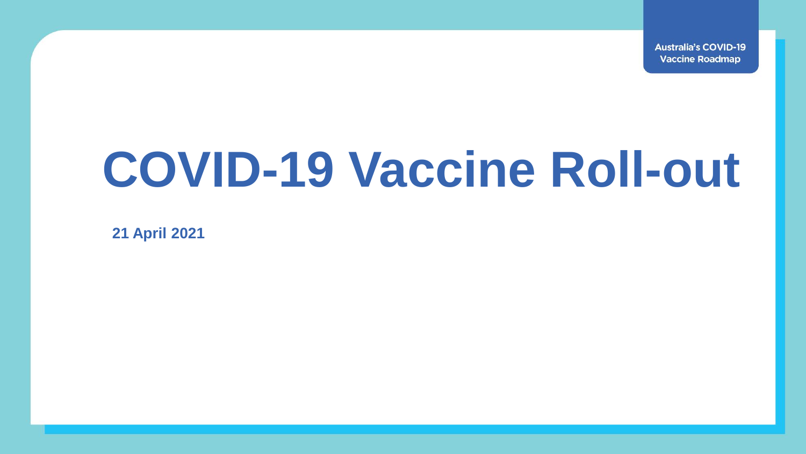**Australia's COVID-19 Vaccine Roadmap** 

# **COVID-19 Vaccine Roll-out**

**21 April 2021**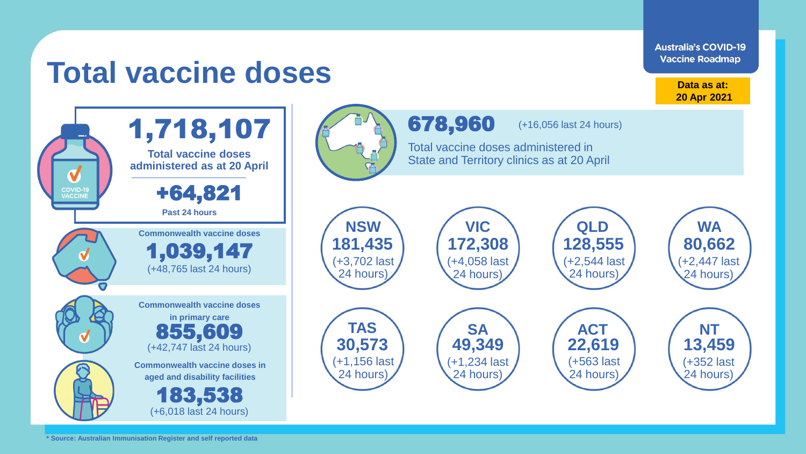**Australia's COVID-19 Vaccine Roadmap** 

## **Total vaccine doses**

**Data as at: 20 Apr 2021**

24 hours)

(+352 last 24 hours)

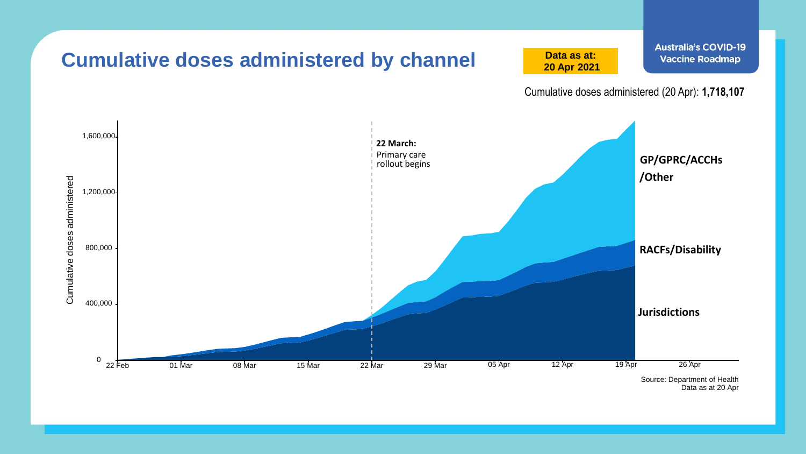

Data as at 20 Apr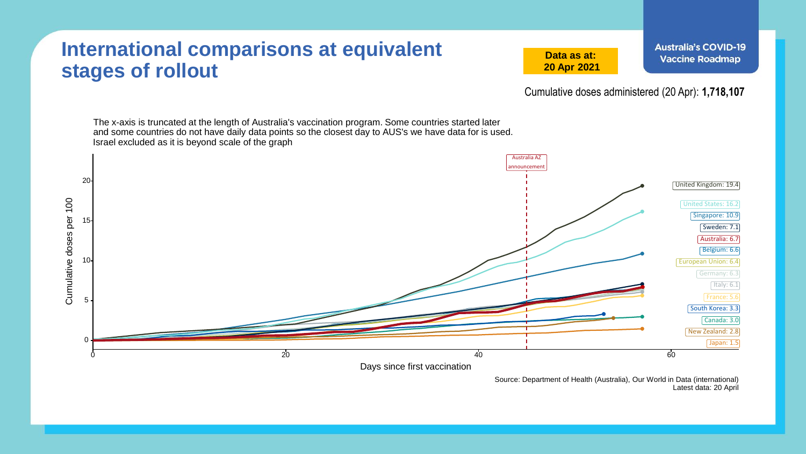#### **International comparisons at equivalent stages of rollout**

**Data as at: 20 Apr 2021**

Cumulative doses administered (20 Apr): **1,718,107**

The x-axis is truncated at the length of Australia's vaccination program. Some countries started later and some countries do not have daily data points so the closest day to AUS's we have data for is used. Israel excluded as it is beyond scale of the graph Australia AZ nnouncement 20 United Kingdom: 19.4 Cumulative doses per 100 Cumulative doses per 100 United States: 16.2 Singapore: 10.9 15 Sweden: 7.1 Australia: 6.7 Belgium: 6.6 10 European Union: 6.4 Germany: 6.3  $\lceil$ Italy: 6.1 $\rceil$ France: 5.6 5 South Korea: 3.3 Canada: 3.0 New Zealand: 2.8 0 Japan: 1.5  $\sim$  20  $\sim$  20  $\sim$  40  $\sim$  60  $\sim$  60 Days since first vaccination

> Source: Department of Health (Australia), Our World in Data (international) Latest data: 20 April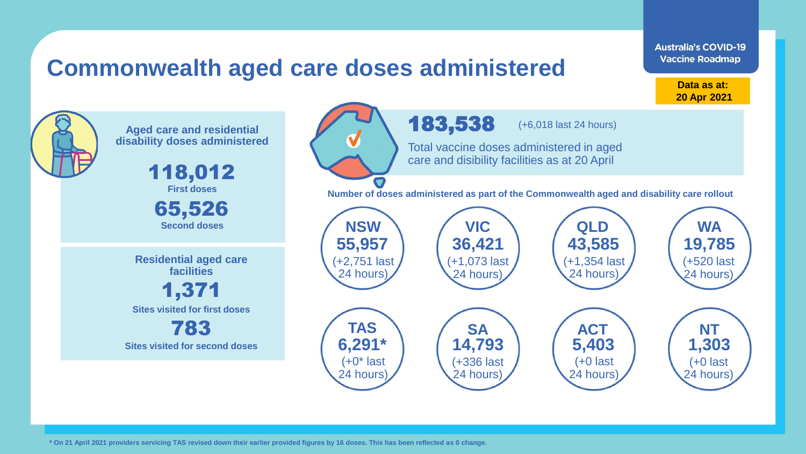### **Commonwealth aged care doses administered**

**Data as at: 20 Apr 2021**